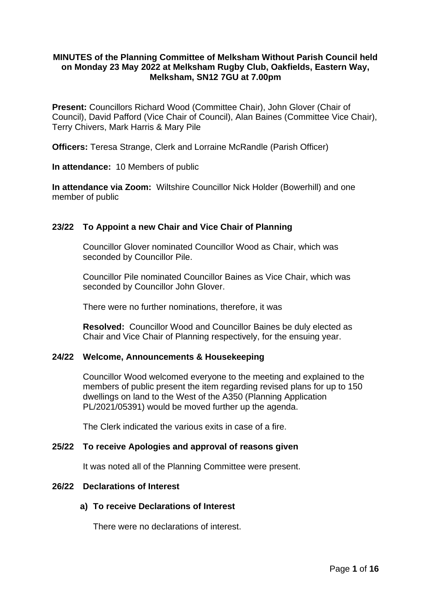# **MINUTES of the Planning Committee of Melksham Without Parish Council held on Monday 23 May 2022 at Melksham Rugby Club, Oakfields, Eastern Way, Melksham, SN12 7GU at 7.00pm**

**Present:** Councillors Richard Wood (Committee Chair), John Glover (Chair of Council), David Pafford (Vice Chair of Council), Alan Baines (Committee Vice Chair), Terry Chivers, Mark Harris & Mary Pile

**Officers:** Teresa Strange, Clerk and Lorraine McRandle (Parish Officer)

**In attendance:** 10 Members of public

**In attendance via Zoom:** Wiltshire Councillor Nick Holder (Bowerhill) and one member of public

# **23/22 To Appoint a new Chair and Vice Chair of Planning**

Councillor Glover nominated Councillor Wood as Chair, which was seconded by Councillor Pile.

Councillor Pile nominated Councillor Baines as Vice Chair, which was seconded by Councillor John Glover.

There were no further nominations, therefore, it was

**Resolved:** Councillor Wood and Councillor Baines be duly elected as Chair and Vice Chair of Planning respectively, for the ensuing year.

#### **24/22 Welcome, Announcements & Housekeeping**

Councillor Wood welcomed everyone to the meeting and explained to the members of public present the item regarding revised plans for up to 150 dwellings on land to the West of the A350 (Planning Application PL/2021/05391) would be moved further up the agenda.

The Clerk indicated the various exits in case of a fire.

### **25/22 To receive Apologies and approval of reasons given**

It was noted all of the Planning Committee were present.

### **26/22 Declarations of Interest**

# **a) To receive Declarations of Interest**

There were no declarations of interest.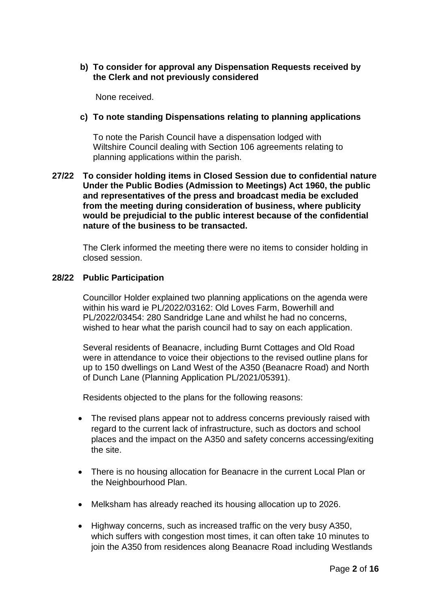# **b) To consider for approval any Dispensation Requests received by the Clerk and not previously considered**

None received.

# **c) To note standing Dispensations relating to planning applications**

To note the Parish Council have a dispensation lodged with Wiltshire Council dealing with Section 106 agreements relating to planning applications within the parish.

# **27/22 To consider holding items in Closed Session due to confidential nature Under the Public Bodies (Admission to Meetings) Act 1960, the public and representatives of the press and broadcast media be excluded from the meeting during consideration of business, where publicity would be prejudicial to the public interest because of the confidential nature of the business to be transacted.**

The Clerk informed the meeting there were no items to consider holding in closed session.

# **28/22 Public Participation**

Councillor Holder explained two planning applications on the agenda were within his ward ie PL/2022/03162: Old Loves Farm, Bowerhill and PL/2022/03454: 280 Sandridge Lane and whilst he had no concerns, wished to hear what the parish council had to say on each application.

Several residents of Beanacre, including Burnt Cottages and Old Road were in attendance to voice their objections to the revised outline plans for up to 150 dwellings on Land West of the A350 (Beanacre Road) and North of Dunch Lane (Planning Application PL/2021/05391).

Residents objected to the plans for the following reasons:

- The revised plans appear not to address concerns previously raised with regard to the current lack of infrastructure, such as doctors and school places and the impact on the A350 and safety concerns accessing/exiting the site.
- There is no housing allocation for Beanacre in the current Local Plan or the Neighbourhood Plan.
- Melksham has already reached its housing allocation up to 2026.
- Highway concerns, such as increased traffic on the very busy A350, which suffers with congestion most times, it can often take 10 minutes to join the A350 from residences along Beanacre Road including Westlands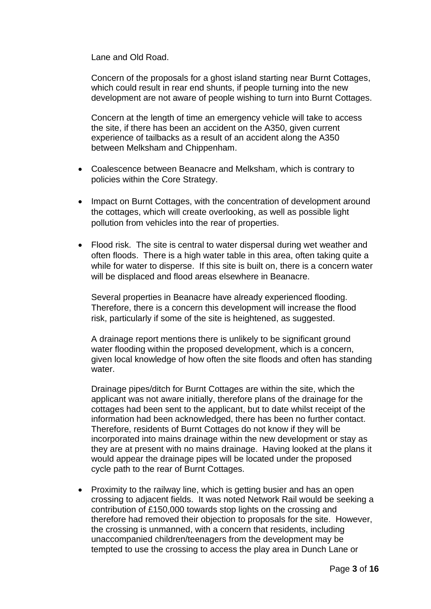Lane and Old Road.

Concern of the proposals for a ghost island starting near Burnt Cottages, which could result in rear end shunts, if people turning into the new development are not aware of people wishing to turn into Burnt Cottages.

Concern at the length of time an emergency vehicle will take to access the site, if there has been an accident on the A350, given current experience of tailbacks as a result of an accident along the A350 between Melksham and Chippenham.

- Coalescence between Beanacre and Melksham, which is contrary to policies within the Core Strategy.
- Impact on Burnt Cottages, with the concentration of development around the cottages, which will create overlooking, as well as possible light pollution from vehicles into the rear of properties.
- Flood risk. The site is central to water dispersal during wet weather and often floods. There is a high water table in this area, often taking quite a while for water to disperse. If this site is built on, there is a concern water will be displaced and flood areas elsewhere in Beanacre.

Several properties in Beanacre have already experienced flooding. Therefore, there is a concern this development will increase the flood risk, particularly if some of the site is heightened, as suggested.

A drainage report mentions there is unlikely to be significant ground water flooding within the proposed development, which is a concern, given local knowledge of how often the site floods and often has standing water

Drainage pipes/ditch for Burnt Cottages are within the site, which the applicant was not aware initially, therefore plans of the drainage for the cottages had been sent to the applicant, but to date whilst receipt of the information had been acknowledged, there has been no further contact. Therefore, residents of Burnt Cottages do not know if they will be incorporated into mains drainage within the new development or stay as they are at present with no mains drainage. Having looked at the plans it would appear the drainage pipes will be located under the proposed cycle path to the rear of Burnt Cottages.

• Proximity to the railway line, which is getting busier and has an open crossing to adjacent fields. It was noted Network Rail would be seeking a contribution of £150,000 towards stop lights on the crossing and therefore had removed their objection to proposals for the site. However, the crossing is unmanned, with a concern that residents, including unaccompanied children/teenagers from the development may be tempted to use the crossing to access the play area in Dunch Lane or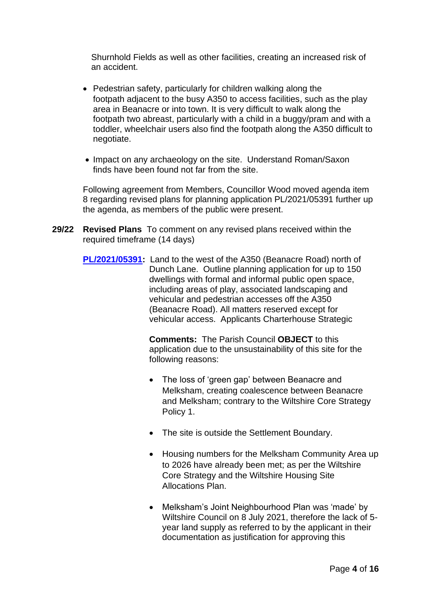Shurnhold Fields as well as other facilities, creating an increased risk of an accident.

- Pedestrian safety, particularly for children walking along the footpath adjacent to the busy A350 to access facilities, such as the play area in Beanacre or into town. It is very difficult to walk along the footpath two abreast, particularly with a child in a buggy/pram and with a toddler, wheelchair users also find the footpath along the A350 difficult to negotiate.
- Impact on any archaeology on the site. Understand Roman/Saxon finds have been found not far from the site.

Following agreement from Members, Councillor Wood moved agenda item 8 regarding revised plans for planning application PL/2021/05391 further up the agenda, as members of the public were present.

- **29/22 Revised Plans** To comment on any revised plans received within the required timeframe (14 days)
	- **[PL/2021/05391:](https://development.wiltshire.gov.uk/pr/s/planning-application/a0i3z000015Qz55AAC/pl202105391)** Land to the west of the A350 (Beanacre Road) north of Dunch Lane. Outline planning application for up to 150 dwellings with formal and informal public open space, including areas of play, associated landscaping and vehicular and pedestrian accesses off the A350 (Beanacre Road). All matters reserved except for vehicular access. Applicants Charterhouse Strategic

**Comments:** The Parish Council **OBJECT** to this application due to the unsustainability of this site for the following reasons:

- The loss of 'green gap' between Beanacre and Melksham, creating coalescence between Beanacre and Melksham; contrary to the Wiltshire Core Strategy Policy 1.
- The site is outside the Settlement Boundary.
- Housing numbers for the Melksham Community Area up to 2026 have already been met; as per the Wiltshire Core Strategy and the Wiltshire Housing Site Allocations Plan.
- Melksham's Joint Neighbourhood Plan was 'made' by Wiltshire Council on 8 July 2021, therefore the lack of 5 year land supply as referred to by the applicant in their documentation as justification for approving this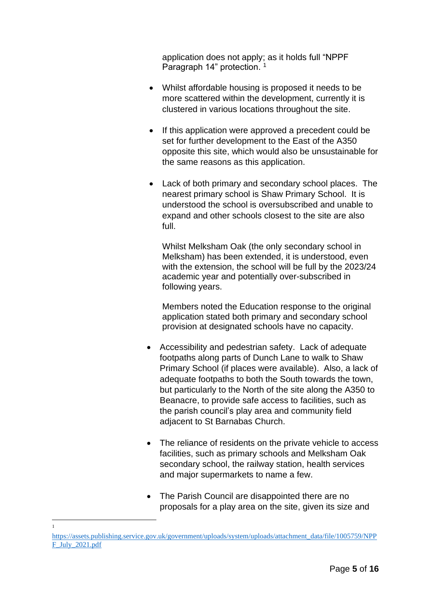application does not apply; as it holds full "NPPF Paragraph 14" protection. 1

- Whilst affordable housing is proposed it needs to be more scattered within the development, currently it is clustered in various locations throughout the site.
- If this application were approved a precedent could be set for further development to the East of the A350 opposite this site, which would also be unsustainable for the same reasons as this application.
- Lack of both primary and secondary school places. The nearest primary school is Shaw Primary School. It is understood the school is oversubscribed and unable to expand and other schools closest to the site are also full.

Whilst Melksham Oak (the only secondary school in Melksham) has been extended, it is understood, even with the extension, the school will be full by the 2023/24 academic year and potentially over-subscribed in following years.

Members noted the Education response to the original application stated both primary and secondary school provision at designated schools have no capacity.

- Accessibility and pedestrian safety. Lack of adequate footpaths along parts of Dunch Lane to walk to Shaw Primary School (if places were available). Also, a lack of adequate footpaths to both the South towards the town, but particularly to the North of the site along the A350 to Beanacre, to provide safe access to facilities, such as the parish council's play area and community field adjacent to St Barnabas Church.
- The reliance of residents on the private vehicle to access facilities, such as primary schools and Melksham Oak secondary school, the railway station, health services and major supermarkets to name a few.
- The Parish Council are disappointed there are no proposals for a play area on the site, given its size and

1

[https://assets.publishing.service.gov.uk/government/uploads/system/uploads/attachment\\_data/file/1005759/NPP](https://assets.publishing.service.gov.uk/government/uploads/system/uploads/attachment_data/file/1005759/NPPF_July_2021.pdf) [F\\_July\\_2021.pdf](https://assets.publishing.service.gov.uk/government/uploads/system/uploads/attachment_data/file/1005759/NPPF_July_2021.pdf)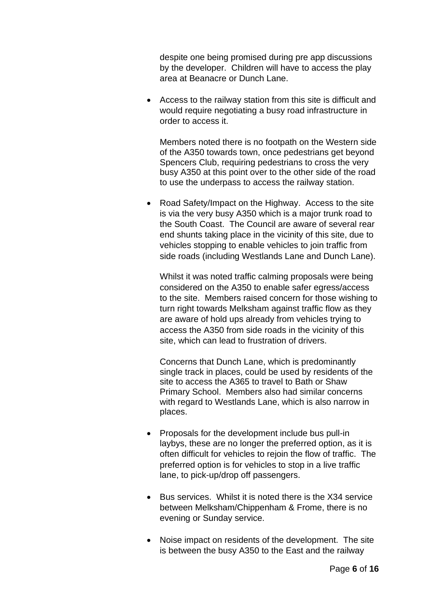despite one being promised during pre app discussions by the developer. Children will have to access the play area at Beanacre or Dunch Lane.

• Access to the railway station from this site is difficult and would require negotiating a busy road infrastructure in order to access it.

Members noted there is no footpath on the Western side of the A350 towards town, once pedestrians get beyond Spencers Club, requiring pedestrians to cross the very busy A350 at this point over to the other side of the road to use the underpass to access the railway station.

• Road Safety/Impact on the Highway. Access to the site is via the very busy A350 which is a major trunk road to the South Coast. The Council are aware of several rear end shunts taking place in the vicinity of this site, due to vehicles stopping to enable vehicles to join traffic from side roads (including Westlands Lane and Dunch Lane).

Whilst it was noted traffic calming proposals were being considered on the A350 to enable safer egress/access to the site. Members raised concern for those wishing to turn right towards Melksham against traffic flow as they are aware of hold ups already from vehicles trying to access the A350 from side roads in the vicinity of this site, which can lead to frustration of drivers.

Concerns that Dunch Lane, which is predominantly single track in places, could be used by residents of the site to access the A365 to travel to Bath or Shaw Primary School. Members also had similar concerns with regard to Westlands Lane, which is also narrow in places.

- Proposals for the development include bus pull-in laybys, these are no longer the preferred option, as it is often difficult for vehicles to rejoin the flow of traffic. The preferred option is for vehicles to stop in a live traffic lane, to pick-up/drop off passengers.
- Bus services. Whilst it is noted there is the X34 service between Melksham/Chippenham & Frome, there is no evening or Sunday service.
- Noise impact on residents of the development. The site is between the busy A350 to the East and the railway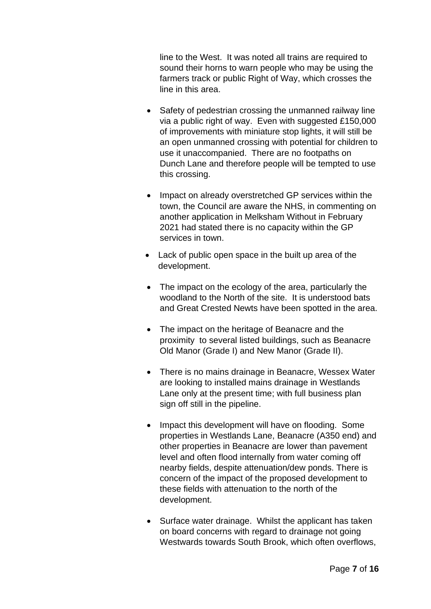line to the West. It was noted all trains are required to sound their horns to warn people who may be using the farmers track or public Right of Way, which crosses the line in this area.

- Safety of pedestrian crossing the unmanned railway line via a public right of way. Even with suggested £150,000 of improvements with miniature stop lights, it will still be an open unmanned crossing with potential for children to use it unaccompanied. There are no footpaths on Dunch Lane and therefore people will be tempted to use this crossing.
- Impact on already overstretched GP services within the town, the Council are aware the NHS, in commenting on another application in Melksham Without in February 2021 had stated there is no capacity within the GP services in town.
- Lack of public open space in the built up area of the development.
- The impact on the ecology of the area, particularly the woodland to the North of the site. It is understood bats and Great Crested Newts have been spotted in the area.
- The impact on the heritage of Beanacre and the proximity to several listed buildings, such as Beanacre Old Manor (Grade I) and New Manor (Grade II).
- There is no mains drainage in Beanacre, Wessex Water are looking to installed mains drainage in Westlands Lane only at the present time; with full business plan sign off still in the pipeline.
- Impact this development will have on flooding. Some properties in Westlands Lane, Beanacre (A350 end) and other properties in Beanacre are lower than pavement level and often flood internally from water coming off nearby fields, despite attenuation/dew ponds. There is concern of the impact of the proposed development to these fields with attenuation to the north of the development.
- Surface water drainage. Whilst the applicant has taken on board concerns with regard to drainage not going Westwards towards South Brook, which often overflows,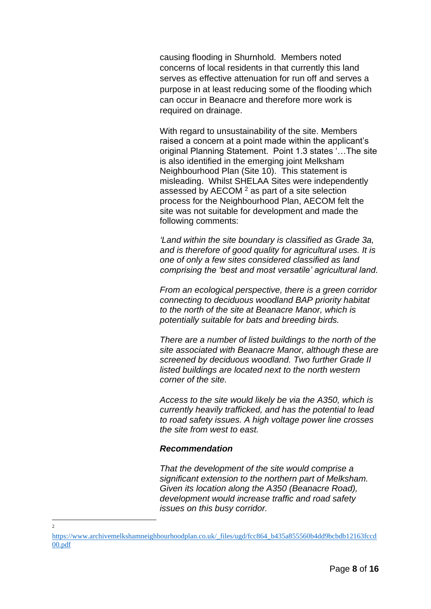causing flooding in Shurnhold. Members noted concerns of local residents in that currently this land serves as effective attenuation for run off and serves a purpose in at least reducing some of the flooding which can occur in Beanacre and therefore more work is required on drainage.

With regard to unsustainability of the site. Members raised a concern at a point made within the applicant's original Planning Statement. Point 1.3 states '…The site is also identified in the emerging joint Melksham Neighbourhood Plan (Site 10). This statement is misleading. Whilst SHELAA Sites were independently assessed by  $AECOM<sup>2</sup>$  as part of a site selection process for the Neighbourhood Plan, AECOM felt the site was not suitable for development and made the following comments:

*'Land within the site boundary is classified as Grade 3a, and is therefore of good quality for agricultural uses. It is one of only a few sites considered classified as land comprising the 'best and most versatile' agricultural land.* 

*From an ecological perspective, there is a green corridor connecting to deciduous woodland BAP priority habitat to the north of the site at Beanacre Manor, which is potentially suitable for bats and breeding birds.* 

*There are a number of listed buildings to the north of the site associated with Beanacre Manor, although these are screened by deciduous woodland. Two further Grade II listed buildings are located next to the north western corner of the site.* 

*Access to the site would likely be via the A350, which is currently heavily trafficked, and has the potential to lead to road safety issues. A high voltage power line crosses the site from west to east.* 

#### *Recommendation*

*That the development of the site would comprise a significant extension to the northern part of Melksham. Given its location along the A350 (Beanacre Road), development would increase traffic and road safety issues on this busy corridor.* 

 $\overline{2}$ 

[https://www.archivemelkshamneighbourhoodplan.co.uk/\\_files/ugd/fcc864\\_b435a855560b4dd9bcbdb12163fccd](https://www.archivemelkshamneighbourhoodplan.co.uk/_files/ugd/fcc864_b435a855560b4dd9bcbdb12163fccd00.pdf) [00.pdf](https://www.archivemelkshamneighbourhoodplan.co.uk/_files/ugd/fcc864_b435a855560b4dd9bcbdb12163fccd00.pdf)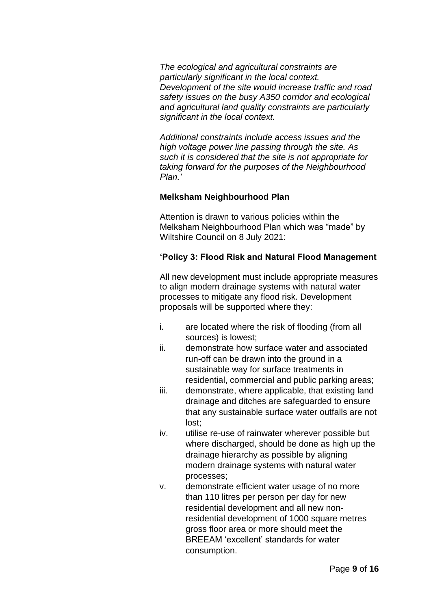*The ecological and agricultural constraints are particularly significant in the local context. Development of the site would increase traffic and road safety issues on the busy A350 corridor and ecological and agricultural land quality constraints are particularly significant in the local context.* 

*Additional constraints include access issues and the high voltage power line passing through the site. As such it is considered that the site is not appropriate for taking forward for the purposes of the Neighbourhood Plan.'* 

# **Melksham Neighbourhood Plan**

Attention is drawn to various policies within the Melksham Neighbourhood Plan which was "made" by Wiltshire Council on 8 July 2021:

# **'Policy 3: Flood Risk and Natural Flood Management**

All new development must include appropriate measures to align modern drainage systems with natural water processes to mitigate any flood risk. Development proposals will be supported where they:

- i. are located where the risk of flooding (from all sources) is lowest;
- ii. demonstrate how surface water and associated run-off can be drawn into the ground in a sustainable way for surface treatments in residential, commercial and public parking areas;
- iii. demonstrate, where applicable, that existing land drainage and ditches are safeguarded to ensure that any sustainable surface water outfalls are not lost;
- iv. utilise re-use of rainwater wherever possible but where discharged, should be done as high up the drainage hierarchy as possible by aligning modern drainage systems with natural water processes;
- v. demonstrate efficient water usage of no more than 110 litres per person per day for new residential development and all new nonresidential development of 1000 square metres gross floor area or more should meet the BREEAM 'excellent' standards for water consumption.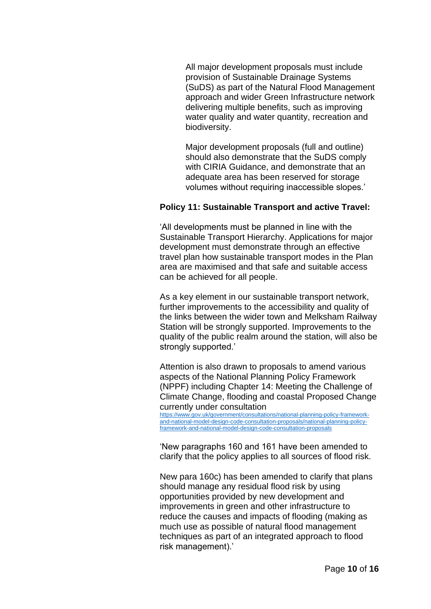All major development proposals must include provision of Sustainable Drainage Systems (SuDS) as part of the Natural Flood Management approach and wider Green Infrastructure network delivering multiple benefits, such as improving water quality and water quantity, recreation and biodiversity.

Major development proposals (full and outline) should also demonstrate that the SuDS comply with CIRIA Guidance, and demonstrate that an adequate area has been reserved for storage volumes without requiring inaccessible slopes.'

### **Policy 11: Sustainable Transport and active Travel:**

'All developments must be planned in line with the Sustainable Transport Hierarchy. Applications for major development must demonstrate through an effective travel plan how sustainable transport modes in the Plan area are maximised and that safe and suitable access can be achieved for all people.

As a key element in our sustainable transport network, further improvements to the accessibility and quality of the links between the wider town and Melksham Railway Station will be strongly supported. Improvements to the quality of the public realm around the station, will also be strongly supported.'

Attention is also drawn to proposals to amend various aspects of the National Planning Policy Framework (NPPF) including Chapter 14: Meeting the Challenge of Climate Change, flooding and coastal Proposed Change currently under consultation

[https://www.gov.uk/government/consultations/national-planning-policy-framework](https://www.gov.uk/government/consultations/national-planning-policy-framework-and-national-model-design-code-consultation-proposals/national-planning-policy-framework-and-national-model-design-code-consultation-proposals)[and-national-model-design-code-consultation-proposals/national-planning-policy](https://www.gov.uk/government/consultations/national-planning-policy-framework-and-national-model-design-code-consultation-proposals/national-planning-policy-framework-and-national-model-design-code-consultation-proposals)[framework-and-national-model-design-code-consultation-proposals](https://www.gov.uk/government/consultations/national-planning-policy-framework-and-national-model-design-code-consultation-proposals/national-planning-policy-framework-and-national-model-design-code-consultation-proposals)

'New paragraphs 160 and 161 have been amended to clarify that the policy applies to all sources of flood risk.

New para 160c) has been amended to clarify that plans should manage any residual flood risk by using opportunities provided by new development and improvements in green and other infrastructure to reduce the causes and impacts of flooding (making as much use as possible of natural flood management techniques as part of an integrated approach to flood risk management).'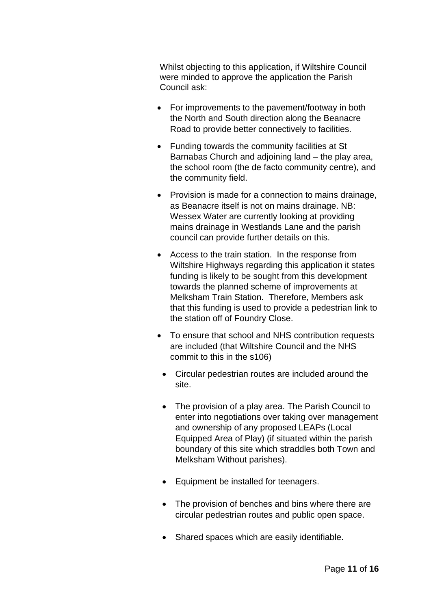Whilst objecting to this application, if Wiltshire Council were minded to approve the application the Parish Council ask:

- For improvements to the pavement/footway in both the North and South direction along the Beanacre Road to provide better connectively to facilities.
- Funding towards the community facilities at St Barnabas Church and adjoining land – the play area, the school room (the de facto community centre), and the community field.
- Provision is made for a connection to mains drainage, as Beanacre itself is not on mains drainage. NB: Wessex Water are currently looking at providing mains drainage in Westlands Lane and the parish council can provide further details on this.
- Access to the train station. In the response from Wiltshire Highways regarding this application it states funding is likely to be sought from this development towards the planned scheme of improvements at Melksham Train Station. Therefore, Members ask that this funding is used to provide a pedestrian link to the station off of Foundry Close.
- To ensure that school and NHS contribution requests are included (that Wiltshire Council and the NHS commit to this in the s106)
	- Circular pedestrian routes are included around the site.
	- The provision of a play area. The Parish Council to enter into negotiations over taking over management and ownership of any proposed LEAPs (Local Equipped Area of Play) (if situated within the parish boundary of this site which straddles both Town and Melksham Without parishes).
	- Equipment be installed for teenagers.
	- The provision of benches and bins where there are circular pedestrian routes and public open space.
	- Shared spaces which are easily identifiable.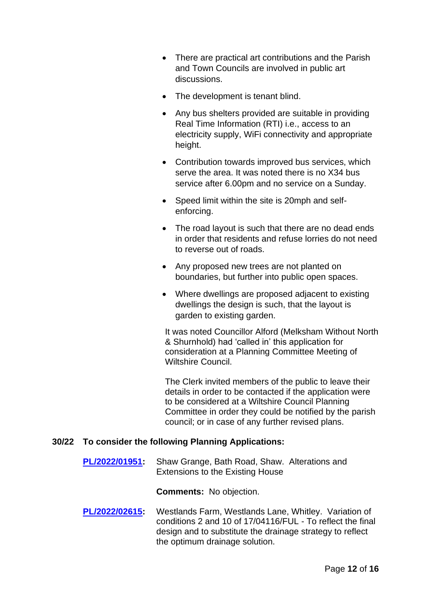- There are practical art contributions and the Parish and Town Councils are involved in public art discussions.
- The development is tenant blind.
- Any bus shelters provided are suitable in providing Real Time Information (RTI) i.e., access to an electricity supply, WiFi connectivity and appropriate height.
- Contribution towards improved bus services, which serve the area. It was noted there is no X34 bus service after 6.00pm and no service on a Sunday.
- Speed limit within the site is 20mph and selfenforcing.
- The road layout is such that there are no dead ends in order that residents and refuse lorries do not need to reverse out of roads.
- Any proposed new trees are not planted on boundaries, but further into public open spaces.
- Where dwellings are proposed adjacent to existing dwellings the design is such, that the layout is garden to existing garden.

It was noted Councillor Alford (Melksham Without North & Shurnhold) had 'called in' this application for consideration at a Planning Committee Meeting of Wiltshire Council.

The Clerk invited members of the public to leave their details in order to be contacted if the application were to be considered at a Wiltshire Council Planning Committee in order they could be notified by the parish council; or in case of any further revised plans.

# **30/22 To consider the following Planning Applications:**

**[PL/2022/01951:](https://development.wiltshire.gov.uk/pr/s/planning-application/a0i3z000017TeZXAA0/pl202201951)** Shaw Grange, Bath Road, Shaw. Alterations and Extensions to the Existing House

**Comments:** No objection.

**[PL/2022/02615:](https://development.wiltshire.gov.uk/pr/s/?tabset-cd145=a3ee8)** Westlands Farm, Westlands Lane, Whitley. Variation of conditions 2 and 10 of 17/04116/FUL - To reflect the final design and to substitute the drainage strategy to reflect the optimum drainage solution.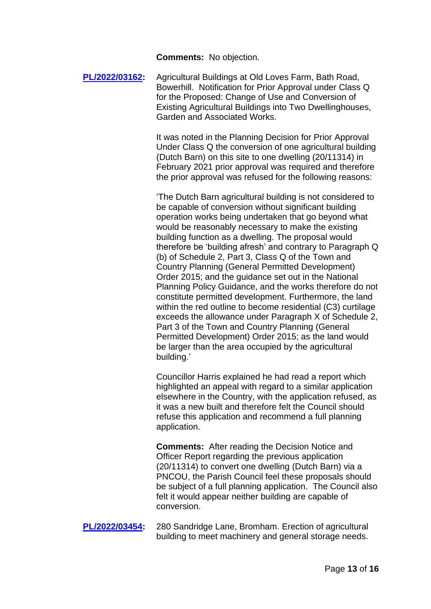**Comments:** No objection.

**[PL/2022/03162:](https://development.wiltshire.gov.uk/pr/s/planning-application/a0i3z0000184010AAA/pl202203162)** Agricultural Buildings at Old Loves Farm, Bath Road, Bowerhill. Notification for Prior Approval under Class Q for the Proposed: Change of Use and Conversion of Existing Agricultural Buildings into Two Dwellinghouses, Garden and Associated Works.

> It was noted in the Planning Decision for Prior Approval Under Class Q the conversion of one agricultural building (Dutch Barn) on this site to one dwelling (20/11314) in February 2021 prior approval was required and therefore the prior approval was refused for the following reasons:

'The Dutch Barn agricultural building is not considered to be capable of conversion without significant building operation works being undertaken that go beyond what would be reasonably necessary to make the existing building function as a dwelling. The proposal would therefore be 'building afresh' and contrary to Paragraph Q (b) of Schedule 2, Part 3, Class Q of the Town and Country Planning (General Permitted Development) Order 2015; and the guidance set out in the National Planning Policy Guidance, and the works therefore do not constitute permitted development. Furthermore, the land within the red outline to become residential (C3) curtilage exceeds the allowance under Paragraph X of Schedule 2, Part 3 of the Town and Country Planning (General Permitted Development) Order 2015; as the land would be larger than the area occupied by the agricultural building.'

Councillor Harris explained he had read a report which highlighted an appeal with regard to a similar application elsewhere in the Country, with the application refused, as it was a new built and therefore felt the Council should refuse this application and recommend a full planning application.

**Comments:** After reading the Decision Notice and Officer Report regarding the previous application (20/11314) to convert one dwelling (Dutch Barn) via a PNCOU, the Parish Council feel these proposals should be subject of a full planning application. The Council also felt it would appear neither building are capable of conversion.

**[PL/2022/03454:](https://development.wiltshire.gov.uk/pr/s/planning-application/a0i3z0000185GtoAAE/pl202203454)** 280 Sandridge Lane, Bromham. Erection of agricultural building to meet machinery and general storage needs.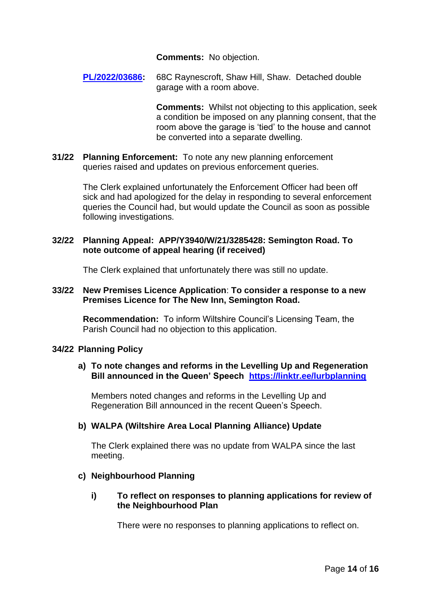**Comments:** No objection.

**[PL/2022/03686:](https://development.wiltshire.gov.uk/pr/s/planning-application/a0i3z000018FilJAAS/pl202203686)** 68C Raynescroft, Shaw Hill, Shaw. Detached double garage with a room above.

> **Comments:** Whilst not objecting to this application, seek a condition be imposed on any planning consent, that the room above the garage is 'tied' to the house and cannot be converted into a separate dwelling.

**31/22 Planning Enforcement:** To note any new planning enforcement queries raised and updates on previous enforcement queries.

> The Clerk explained unfortunately the Enforcement Officer had been off sick and had apologized for the delay in responding to several enforcement queries the Council had, but would update the Council as soon as possible following investigations.

# **32/22 Planning Appeal: APP/Y3940/W/21/3285428: Semington Road. To note outcome of appeal hearing (if received)**

The Clerk explained that unfortunately there was still no update.

### **33/22 New Premises Licence Application**: **To consider a response to a new Premises Licence for The New Inn, Semington Road.**

**Recommendation:** To inform Wiltshire Council's Licensing Team, the Parish Council had no objection to this application.

# **34/22 Planning Policy**

# **a) To note changes and reforms in the Levelling Up and Regeneration Bill announced in the Queen' Speech <https://linktr.ee/lurbplanning>**

Members noted changes and reforms in the Levelling Up and Regeneration Bill announced in the recent Queen's Speech.

# **b) WALPA (Wiltshire Area Local Planning Alliance) Update**

The Clerk explained there was no update from WALPA since the last meeting.

# **c) Neighbourhood Planning**

**i) To reflect on responses to planning applications for review of the Neighbourhood Plan**

There were no responses to planning applications to reflect on.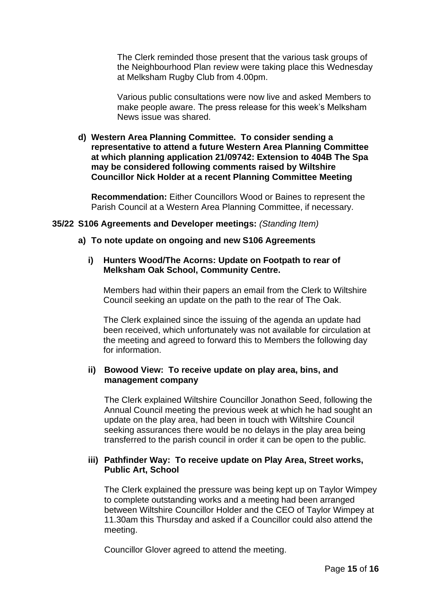The Clerk reminded those present that the various task groups of the Neighbourhood Plan review were taking place this Wednesday at Melksham Rugby Club from 4.00pm.

Various public consultations were now live and asked Members to make people aware. The press release for this week's Melksham News issue was shared.

**d) Western Area Planning Committee. To consider sending a representative to attend a future Western Area Planning Committee at which planning application 21/09742: Extension to 404B The Spa may be considered following comments raised by Wiltshire Councillor Nick Holder at a recent Planning Committee Meeting**

**Recommendation:** Either Councillors Wood or Baines to represent the Parish Council at a Western Area Planning Committee, if necessary.

### **35/22 S106 Agreements and Developer meetings:** *(Standing Item)*

### **a) To note update on ongoing and new S106 Agreements**

# **i) Hunters Wood/The Acorns: Update on Footpath to rear of Melksham Oak School, Community Centre.**

Members had within their papers an email from the Clerk to Wiltshire Council seeking an update on the path to the rear of The Oak.

The Clerk explained since the issuing of the agenda an update had been received, which unfortunately was not available for circulation at the meeting and agreed to forward this to Members the following day for information.

### **ii) Bowood View: To receive update on play area, bins, and management company**

The Clerk explained Wiltshire Councillor Jonathon Seed, following the Annual Council meeting the previous week at which he had sought an update on the play area, had been in touch with Wiltshire Council seeking assurances there would be no delays in the play area being transferred to the parish council in order it can be open to the public.

### **iii) Pathfinder Way: To receive update on Play Area, Street works, Public Art, School**

The Clerk explained the pressure was being kept up on Taylor Wimpey to complete outstanding works and a meeting had been arranged between Wiltshire Councillor Holder and the CEO of Taylor Wimpey at 11.30am this Thursday and asked if a Councillor could also attend the meeting.

Councillor Glover agreed to attend the meeting.